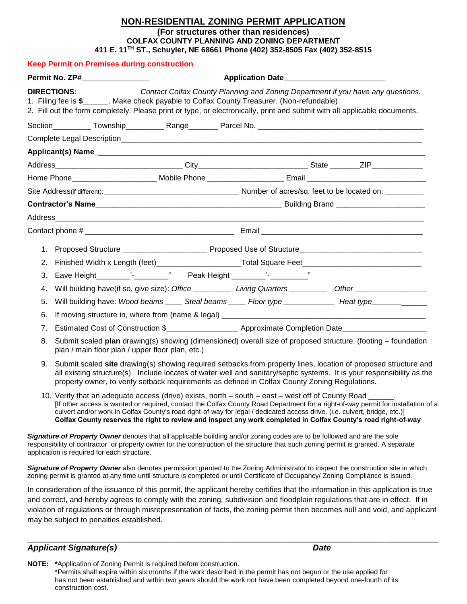## **NON-RESIDENTIAL ZONING PERMIT APPLICATION (For structures other than residences) COLFAX COUNTY PLANNING AND ZONING DEPARTMENT 411 E. 11TH ST., Schuyler, NE 68661 Phone (402) 352-8505 Fax (402) 352-8515**

|                                                                                                                | <b>Keep Permit on Premises during construction</b>                                                                                                                                                                                                                                                                                          |                                                                                                                                                                                                                                                                                                                                                                                                                                                                                   |                                                                                 |  |  |
|----------------------------------------------------------------------------------------------------------------|---------------------------------------------------------------------------------------------------------------------------------------------------------------------------------------------------------------------------------------------------------------------------------------------------------------------------------------------|-----------------------------------------------------------------------------------------------------------------------------------------------------------------------------------------------------------------------------------------------------------------------------------------------------------------------------------------------------------------------------------------------------------------------------------------------------------------------------------|---------------------------------------------------------------------------------|--|--|
| Permit No. ZP#_________________                                                                                |                                                                                                                                                                                                                                                                                                                                             |                                                                                                                                                                                                                                                                                                                                                                                                                                                                                   | Application Date______________________________                                  |  |  |
|                                                                                                                | <b>DIRECTIONS:</b>                                                                                                                                                                                                                                                                                                                          | 1. Filing fee is \$______. Make check payable to Colfax County Treasurer. (Non-refundable)<br>2. Fill out the form completely. Please print or type, or electronically, print and submit with all applicable documents.                                                                                                                                                                                                                                                           | Contact Colfax County Planning and Zoning Department if you have any questions. |  |  |
|                                                                                                                |                                                                                                                                                                                                                                                                                                                                             |                                                                                                                                                                                                                                                                                                                                                                                                                                                                                   |                                                                                 |  |  |
|                                                                                                                |                                                                                                                                                                                                                                                                                                                                             |                                                                                                                                                                                                                                                                                                                                                                                                                                                                                   |                                                                                 |  |  |
|                                                                                                                |                                                                                                                                                                                                                                                                                                                                             |                                                                                                                                                                                                                                                                                                                                                                                                                                                                                   |                                                                                 |  |  |
|                                                                                                                |                                                                                                                                                                                                                                                                                                                                             |                                                                                                                                                                                                                                                                                                                                                                                                                                                                                   |                                                                                 |  |  |
| Home Phone_______________________ Mobile Phone _________________________Email ________________________________ |                                                                                                                                                                                                                                                                                                                                             |                                                                                                                                                                                                                                                                                                                                                                                                                                                                                   |                                                                                 |  |  |
|                                                                                                                |                                                                                                                                                                                                                                                                                                                                             |                                                                                                                                                                                                                                                                                                                                                                                                                                                                                   |                                                                                 |  |  |
|                                                                                                                |                                                                                                                                                                                                                                                                                                                                             |                                                                                                                                                                                                                                                                                                                                                                                                                                                                                   |                                                                                 |  |  |
|                                                                                                                |                                                                                                                                                                                                                                                                                                                                             |                                                                                                                                                                                                                                                                                                                                                                                                                                                                                   |                                                                                 |  |  |
|                                                                                                                |                                                                                                                                                                                                                                                                                                                                             |                                                                                                                                                                                                                                                                                                                                                                                                                                                                                   |                                                                                 |  |  |
|                                                                                                                |                                                                                                                                                                                                                                                                                                                                             |                                                                                                                                                                                                                                                                                                                                                                                                                                                                                   |                                                                                 |  |  |
| 2.                                                                                                             |                                                                                                                                                                                                                                                                                                                                             |                                                                                                                                                                                                                                                                                                                                                                                                                                                                                   |                                                                                 |  |  |
| 3.                                                                                                             |                                                                                                                                                                                                                                                                                                                                             |                                                                                                                                                                                                                                                                                                                                                                                                                                                                                   |                                                                                 |  |  |
| 4.                                                                                                             |                                                                                                                                                                                                                                                                                                                                             | Will building have(if so, give size): Office ____________ Living Quarters ___________ Other __________________                                                                                                                                                                                                                                                                                                                                                                    |                                                                                 |  |  |
| 5.                                                                                                             |                                                                                                                                                                                                                                                                                                                                             | Will building have: Wood beams ______ Steal beams ______ Floor type ________________ Heat type ______________                                                                                                                                                                                                                                                                                                                                                                     |                                                                                 |  |  |
| 6.                                                                                                             |                                                                                                                                                                                                                                                                                                                                             |                                                                                                                                                                                                                                                                                                                                                                                                                                                                                   |                                                                                 |  |  |
| 7.                                                                                                             |                                                                                                                                                                                                                                                                                                                                             | Estimated Cost of Construction \$_________________________ Approximate Completion Date________________________                                                                                                                                                                                                                                                                                                                                                                    |                                                                                 |  |  |
| 8.                                                                                                             | Submit scaled plan drawing(s) showing (dimensioned) overall size of proposed structure. (footing - foundation<br>plan / main floor plan / upper floor plan, etc.)                                                                                                                                                                           |                                                                                                                                                                                                                                                                                                                                                                                                                                                                                   |                                                                                 |  |  |
| 9.                                                                                                             | Submit scaled site drawing(s) showing required setbacks from property lines, location of proposed structure and<br>all existing structure(s). Include locates of water well and sanitary/septic systems. It is your responsibility as the<br>property owner, to verify setback requirements as defined in Colfax County Zoning Regulations. |                                                                                                                                                                                                                                                                                                                                                                                                                                                                                   |                                                                                 |  |  |
|                                                                                                                |                                                                                                                                                                                                                                                                                                                                             | 10. Verify that an adequate access (drive) exists, north – south – east – west off of County Road ______.<br>If other access is wanted or required, contact the Colfax County Road Department for a right-of-way permit for insta<br>culvert and/or work in Colfax County's road right-of-way for legal / dedicated access drive. (i.e. culvert, bridge, etc.)]<br>Colfax County reserves the right to review and inspect any work completed in Colfax County's road right-of-way |                                                                                 |  |  |
|                                                                                                                | application is required for each structure.                                                                                                                                                                                                                                                                                                 | Signature of Property Owner denotes that all applicable building and/or zoning codes are to be followed and are the sole<br>responsibility of contractor or property owner for the construction of the structure that such zoning permit is granted. A separate                                                                                                                                                                                                                   |                                                                                 |  |  |
|                                                                                                                |                                                                                                                                                                                                                                                                                                                                             | Signature of Property Owner also denotes permission granted to the Zoning Administrator to inspect the construction site in which<br>zoning permit is granted at any time until structure is completed or until Certificate of Occupancy/ Zoning Compliance is issued.                                                                                                                                                                                                            |                                                                                 |  |  |
|                                                                                                                |                                                                                                                                                                                                                                                                                                                                             | In consideration of the issuance of this permit, the applicant hereby certifies that the information in this application is true<br>and correct, and hereby agrees to comply with the zoning, subdivision and floodplain regulations that are in effect. If in                                                                                                                                                                                                                    |                                                                                 |  |  |

and correct, and hereby agrees to comply with the zoning, subdivision and floodplain regulations that are in effect. If in violation of regulations or through misrepresentation of facts, the zoning permit then becomes null and void, and applicant may be subject to penalties established.

\_\_\_\_\_\_\_\_\_\_\_\_\_\_\_\_\_\_\_\_\_\_\_\_\_\_\_\_\_\_\_\_\_\_\_\_\_\_\_\_\_\_\_\_\_\_\_\_\_\_\_\_\_\_\_\_\_\_\_\_\_\_\_\_\_\_\_\_\_\_\_\_\_\_\_\_\_\_\_\_\_\_\_\_\_\_\_\_ **Applicant Signature(s)** Date **Date** *Date* Date *Date* 

**NOTE: \***Application of Zoning Permit is required before construction. \*Permits shall expire within six months if the work described in the permit has not begun or the use applied for has not been established and within two years should the work not have been completed beyond one-fourth of its construction cost.